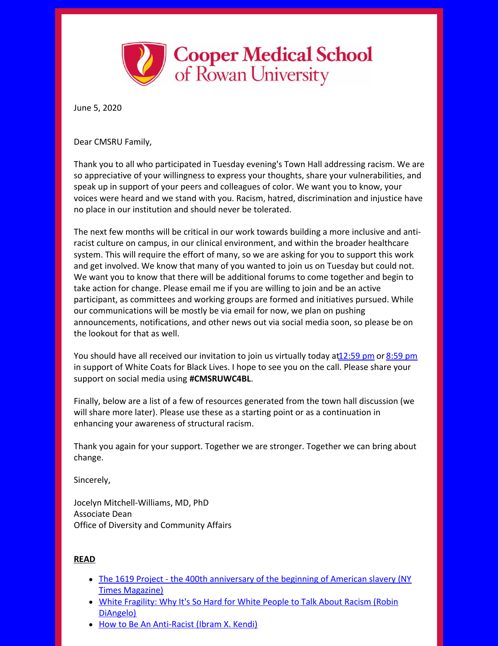

June 5, 2020

Dear CMSRU Family,

Thank you to all who participated in Tuesday evening's Town Hall addressing racism. We are so appreciative of your willingness to express your thoughts, share your vulnerabilities, and speak up in support of your peers and colleagues of color. We want you to know, your voices were heard and we stand with you. Racism, hatred, discrimination and injustice have no place in our institution and should never be tolerated.

The next few months will be critical in our work towards building a more inclusive and antiracist culture on campus, in our clinical environment, and within the broader healthcare system. This will require the effort of many, so we are asking for you to support this work and get involved. We know that many of you wanted to join us on Tuesday but could not. We want you to know that there will be additional forums to come together and begin to take action for change. Please email me if you are willing to join and be an active participant, as committees and working groups are formed and initiatives pursued. While our communications will be mostly be via email for now, we plan on pushing announcements, notifications, and other news out via social media soon, so please be on the lookout for that as well.

You should have all received our invitation to join us virtually today a[t12:59](https://cooper.webex.com/mw3300/mywebex/default.do?nomenu=true&siteurl=cooper&service=6&rnd=0.32901604862377043&main_url=https%3A%2F%2Fcooper.webex.com%2Fec3300%2Feventcenter%2Fevent%2FeventAction.do%3FtheAction%3Ddetail%26%26%26EMK%3D4832534b000000040fcafde9bc2e21dfaac3a0e47cd66021cdd6235b406e181eaad02ac1e4c8e673%26siteurl%3Dcooper%26confViewID%3D163162476514386278%26encryptTicket%3DSDJTSwAAAASu57NVK-HLC3W2mgEMbFnmLFEcrMfhHsVFsljF5yKhLA2%26) pm or [8:59](https://cooper.webex.com/mw3300/mywebex/default.do?nomenu=true&siteurl=cooper&service=6&rnd=0.6463327831440385&main_url=https%3A%2F%2Fcooper.webex.com%2Fec3300%2Feventcenter%2Fevent%2FeventAction.do%3FtheAction%3Ddetail%26%26%26EMK%3D4832534b00000004ba6a52110ce765041f0d8315fa1cd75d55da3b41bb0c93ae64263fba8f5c5ad5%26siteurl%3Dcooper%26confViewID%3D163163670018269185%26encryptTicket%3DSDJTSwAAAASc-Ba9VbUfZRUw2MXMPdJVwujVc0mHpG6LJnVq4iN6YA2%26) pm in support of White Coats for Black Lives. I hope to see you on the call. Please share your support on social media using **#CMSRUWC4BL**.

Finally, below are a list of a few of resources generated from the town hall discussion (we will share more later). Please use these as a starting point or as a continuation in enhancing your awareness of structural racism.

Thank you again for your support. Together we are stronger. Together we can bring about change.

Sincerely,

Jocelyn Mitchell-Williams, MD, PhD Associate Dean Office of Diversity and Community Affairs

## **READ**

- The 1619 Project the 400th [anniversary](https://www.nytimes.com/interactive/2019/08/14/magazine/1619-america-slavery.html) of the beginning of American slavery (NY) Times Magazine)
- White Fragility: Why It's So Hard for White People to Talk About Racism (Robin [DiAngelo\)](https://www.amazon.com/White-Fragility-People-About-Racism/dp/0807047414/ref=pd_lpo_14_t_0/146-5755696-7880062?_encoding=UTF8&pd_rd_i=0807047414&pd_rd_r=01f71664-df73-4575-9ee3-db99f66aae05&pd_rd_w=ygbUr&pd_rd_wg=UGKvC&pf_rd_p=7b36d496-f366-4631-94d3-61b87b52511b&pf_rd_r=H7VK3X2P5CBR7WB1VFP9&psc=1&refRID=H7VK3X2P5CBR7WB1VFP9)
- How to Be An [Anti-Racist](https://www.amazon.com/How-Be-Antiracist-Ibram-Kendi/dp/0525509283) (Ibram X. Kendi)